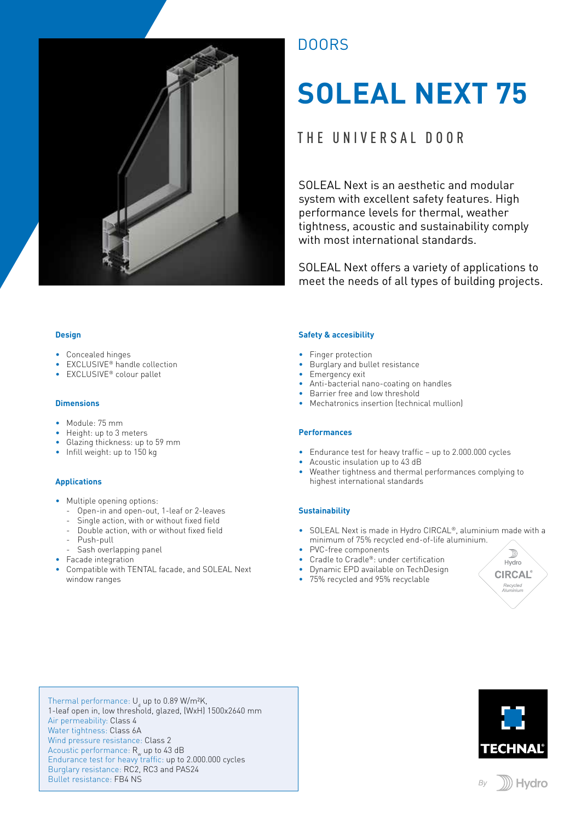

## DOORS

# **SOLEAL NEXT 75**

## THE UNIVERSAL DOOR

SOLEAL Next is an aesthetic and modular system with excellent safety features. High performance levels for thermal, weather tightness, acoustic and sustainability comply with most international standards.

SOLEAL Next offers a variety of applications to meet the needs of all types of building projects.

#### **Design**

- Concealed hinges
- EXCLUSIVE<sup>®</sup> handle collection
- EXCLUSIVE® colour pallet

#### **Dimensions**

- Module: 75 mm
- Height: up to 3 meters
- Glazing thickness: up to 59 mm
- Infill weight: up to 150 kg

#### **Applications**

- Multiple opening options:
	- Open-in and open-out, 1-leaf or 2-leaves
	- Single action, with or without fixed field
	- Double action, with or without fixed field
	- Push-pull
	- Sash overlapping panel
- Facade integration
- Compatible with TENTAL facade, and SOLEAL Next window ranges

#### **Safety & accesibility**

- Finger protection
- Burglary and bullet resistance
- Emergency exit
- Anti-bacterial nano-coating on handles
- Barrier free and low threshold
- Mechatronics insertion (technical mullion)

#### **Performances**

- Endurance test for heavy traffic up to 2.000.000 cycles
- Acoustic insulation up to 43 dB
- Weather tightness and thermal performances complying to highest international standards

#### **Sustainability**

- SOLEAL Next is made in Hydro CIRCAL®, aluminium made with a minimum of 75% recycled end-of-life aluminium.
- PVC-free components
- Cradle to Cradle®: under certification
- Dynamic EPD available on TechDesign
- 75% recycled and 95% recyclable



Thermal performance: U<sub>d</sub> up to 0.89 W/m²K, 1-leaf open in, low threshold, glazed, (WxH) 1500x2640 mm Air permeability: Class 4 Water tightness: Class 6A Wind pressure resistance: Class 2 Acoustic performance:  $R_w$  up to 43 dB Endurance test for heavy traffic: up to 2.000.000 cycles Burglary resistance: RC2, RC3 and PAS24 Bullet resistance: FB4 NS



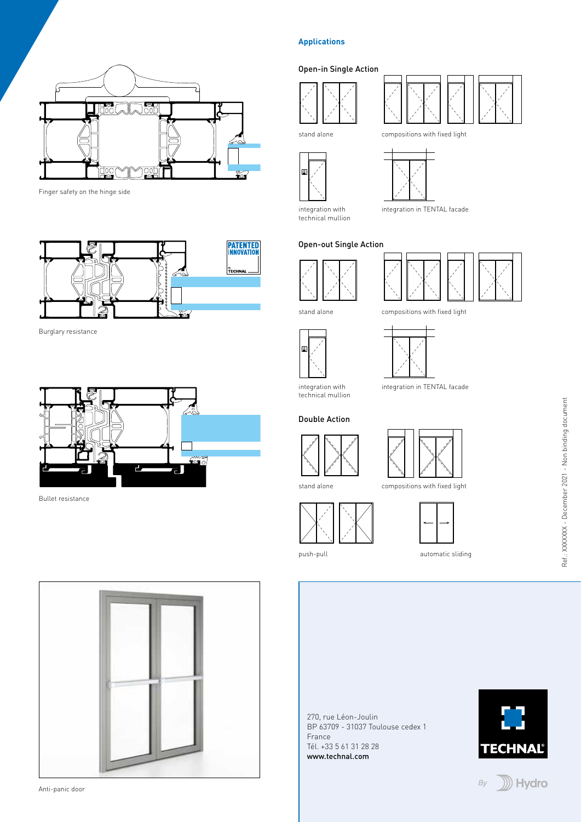

Finger safety on the hinge side



Burglary resistance



Bullet resistance



Anti-panic door

### **Applications**

#### Open-in Single Action









integration with technical mullion

compositions with fixed light



### Open-out Single Action







stand alone



integration in TENTAL facade

technical mullion

#### Double Action





compositions with fixed light



push-pull



automatic sliding

270, rue Léon-Joulin BP 63709 - 31037 Toulouse cedex 1 France Tél. +33 5 61 31 28 28 www.technal.com



By

**D** Hydro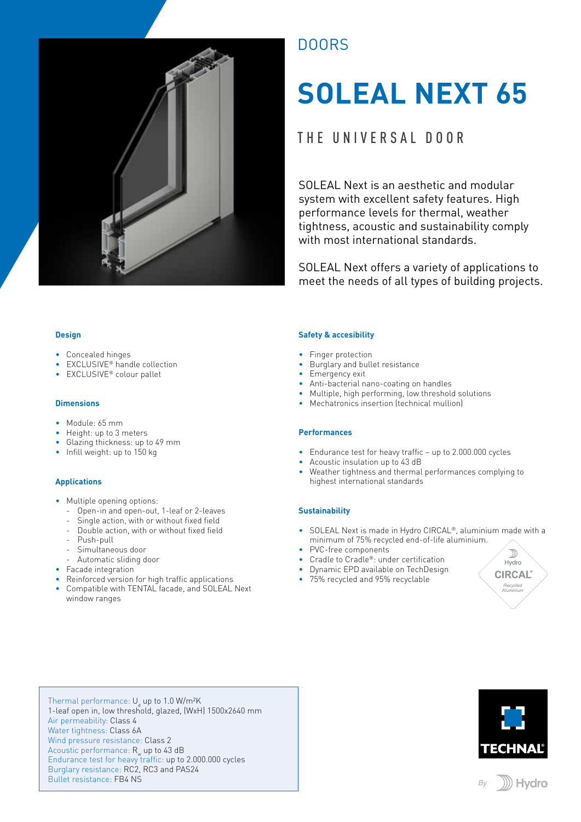

## DOORS

# **SOLEAL NEXT 65**

## THE UNIVERSAL DOOR

SOLEAL Next is an aesthetic and modular system with excellent safety features. High performance levels for thermal, weather tightness, acoustic and sustainability comply with most international standards.

SOLEAL Next offers a variety of applications to meet the needs of all types of building projects.

#### **Design**

- Concealed hinges
- EXCLUSIVE<sup>®</sup> handle collection
- EXCLUSIVE® colour pallet

#### **Dimensions**

- Module: 65 mm
- Height: up to 3 meters
- Glazing thickness: up to 49 mm
- Infill weight: up to 150 kg

#### **Applications**

- Multiple opening options:
	- Open-in and open-out, 1-leaf or 2-leaves
	- Single action, with or without fixed field
	- Double action, with or without fixed field
	- Push-pull
	- Simultaneous door
	- Automatic sliding door
- Facade integration
- Reinforced version for high traffic applications
- Compatible with TENTAL facade, and SOLEAL Next window ranges

#### **Safety & accesibility**

- Finger protection
- Burglary and bullet resistance
- Emergency exit
- Anti-bacterial nano-coating on handles
- Multiple, high performing, low threshold solutions
- Mechatronics insertion (technical mullion)

#### **Performances**

- Endurance test for heavy traffic up to 2.000.000 cycles
- Acoustic insulation up to 43 dB
- Weather tightness and thermal performances complying to highest international standards

#### **Sustainability**

- SOLEAL Next is made in Hydro CIRCAL®, aluminium made with a minimum of 75% recycled end-of-life aluminium.
- PVC-free components
- Cradle to Cradle®: under certification
- Dynamic EPD available on TechDesign
- 75% recycled and 95% recyclable



Thermal performance: U<sub>d</sub> up to 1.0 W/m<sup>2</sup>K 1-leaf open in, low threshold, glazed, (WxH) 1500x2640 mm Air permeability: Class 4 Water tightness: Class 6A Wind pressure resistance: Class 2 Acoustic performance:  $R_w$  up to 43 dB Endurance test for heavy traffic: up to 2.000.000 cycles Burglary resistance: RC2, RC3 and PAS24 Bullet resistance: FB4 NS



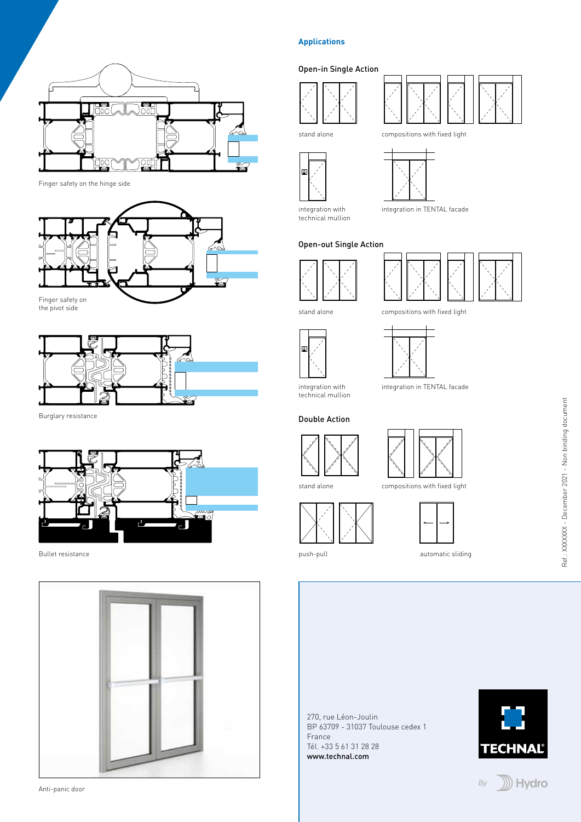

Finger safety on the hinge side





Burglary resistance



Bullet resistance



Anti-panic door

#### **Applications**

#### Open-in Single Action





technical mullion



compositions with fixed light

integration in TENTAL facade

#### Open-out Single Action



stand alone



integration in TENTAL facade

compositions with fixed light

Double Action

technical mullion





compositions with fixed light



push-pull

stand alone

![](_page_3_Picture_28.jpeg)

automatic sliding

270, rue Léon-Joulin BP 63709 - 31037 Toulouse cedex 1 France Tél. +33 5 61 31 28 28 www.technal.com

![](_page_3_Picture_31.jpeg)

#### **D** Hydro By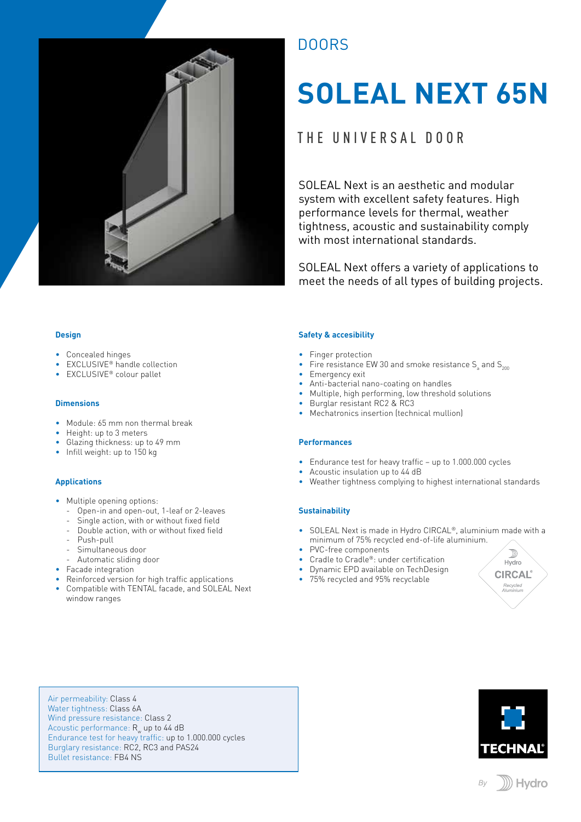![](_page_4_Picture_0.jpeg)

## **DOORS**

# **SOLEAL NEXT 65N**

## THE UNIVERSAL DOOR

SOLEAL Next is an aesthetic and modular system with excellent safety features. High performance levels for thermal, weather tightness, acoustic and sustainability comply with most international standards.

SOLEAL Next offers a variety of applications to meet the needs of all types of building projects.

#### **Design**

- Concealed hinges
- EXCLUSIVE<sup>®</sup> handle collection
- EXCLUSIVE® colour pallet

#### **Dimensions**

- Module: 65 mm non thermal break
- Height: up to 3 meters
- Glazing thickness: up to 49 mm
- Infill weight: up to 150 kg

#### **Applications**

- Multiple opening options:
	- Open-in and open-out, 1-leaf or 2-leaves
	- Single action, with or without fixed field
	- Double action, with or without fixed field
	- Push-pull
	- Simultaneous door
	- Automatic sliding door
- Facade integration
- Reinforced version for high traffic applications
- Compatible with TENTAL facade, and SOLEAL Next window ranges

#### **Safety & accesibility**

- Finger protection
- Fire resistance EW 30 and smoke resistance  $\mathsf{S}_{\mathsf{a}}$  and  $\mathsf{S}_{\mathsf{200}}$
- Emergency exit
- Anti-bacterial nano-coating on handles
- Multiple, high performing, low threshold solutions
- Burglar resistant RC2 & RC3
- Mechatronics insertion (technical mullion)

#### **Performances**

- Endurance test for heavy traffic up to 1.000.000 cycles
- Acoustic insulation up to 44 dB
- Weather tightness complying to highest international standards

#### **Sustainability**

- SOLEAL Next is made in Hydro CIRCAL®, aluminium made with a minimum of 75% recycled end-of-life aluminium.
- PVC-free components
- Cradle to Cradle®: under certification
- Dynamic EPD available on TechDesign
- 75% recycled and 95% recyclable

![](_page_4_Picture_44.jpeg)

Air permeability: Class 4 Water tightness: Class 6A Wind pressure resistance: Class 2 Acoustic performance:  $R_w$  up to 44 dB Endurance test for heavy traffic: up to 1.000.000 cycles Burglary resistance: RC2, RC3 and PAS24 Bullet resistance: FB4 NS

![](_page_4_Picture_46.jpeg)

![](_page_4_Picture_47.jpeg)